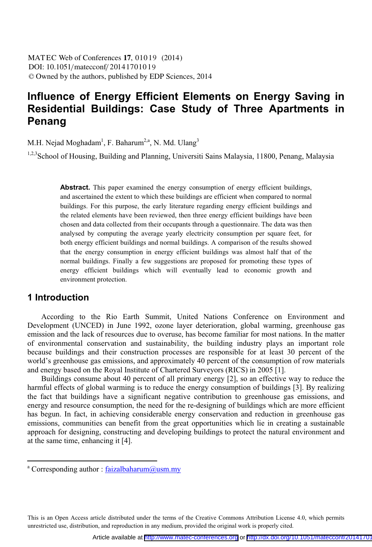# **Influence of Energy Efficient Elements on Energy Saving in Residential Buildings: Case Study of Three Apartments in Penang**

M.H. Nejad Moghadam<sup>1</sup>, F. Baharum<sup>2,a</sup>, N. Md. Ulang<sup>3</sup>

<sup>1,2,3</sup>School of Housing, Building and Planning, Universiti Sains Malaysia, 11800, Penang, Malaysia

**Abstract.** This paper examined the energy consumption of energy efficient buildings, and ascertained the extent to which these buildings are efficient when compared to normal buildings. For this purpose, the early literature regarding energy efficient buildings and the related elements have been reviewed, then three energy efficient buildings have been chosen and data collected from their occupants through a questionnaire. The data was then analysed by computing the average yearly electricity consumption per square feet, for both energy efficient buildings and normal buildings. A comparison of the results showed that the energy consumption in energy efficient buildings was almost half that of the normal buildings. Finally a few suggestions are proposed for promoting these types of energy efficient buildings which will eventually lead to economic growth and environment protection.

# **1 Introduction**

According to the Rio Earth Summit, United Nations Conference on Environment and Development (UNCED) in June 1992, ozone layer deterioration, global warming, greenhouse gas emission and the lack of resources due to overuse, has become familiar for most nations. In the matter of environmental conservation and sustainability, the building industry plays an important role because buildings and their construction processes are responsible for at least 30 percent of the world's greenhouse gas emissions, and approximately 40 percent of the consumption of row materials and energy based on the Royal Institute of Chartered Surveyors (RICS) in 2005 [1].

Buildings consume about 40 percent of all primary energy [2], so an effective way to reduce the harmful effects of global warming is to reduce the energy consumption of buildings [3]. By realizing the fact that buildings have a significant negative contribution to greenhouse gas emissions, and energy and resource consumption, the need for the re-designing of buildings which are more efficient has begun. In fact, in achieving considerable energy conservation and reduction in greenhouse gas emissions, communities can benefit from the great opportunities which lie in creating a sustainable approach for designing, constructing and developing buildings to protect the natural environment and at the same time, enhancing it [4].

This is an Open Access article distributed under the terms of the Creative Commons Attribution License 4.0, which permits unrestricted use, distribution, and reproduction in any medium, provided the original work is properly cited.

<sup>&</sup>lt;sup>a</sup> Corresponding author : faizalbaharum@usm.my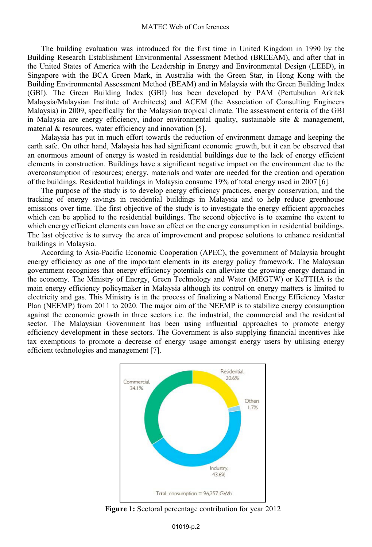#### MATEC Web of Conferences

The building evaluation was introduced for the first time in United Kingdom in 1990 by the Building Research Establishment Environmental Assessment Method (BREEAM), and after that in the United States of America with the Leadership in Energy and Environmental Design (LEED), in Singapore with the BCA Green Mark, in Australia with the Green Star, in Hong Kong with the Building Environmental Assessment Method (BEAM) and in Malaysia with the Green Building Index (GBI). The Green Building Index (GBI) has been developed by PAM (Pertubuhan Arkitek Malaysia/Malaysian Institute of Architects) and ACEM (the Association of Consulting Engineers Malaysia) in 2009, specifically for the Malaysian tropical climate. The assessment criteria of the GBI in Malaysia are energy efficiency, indoor environmental quality, sustainable site & management, material & resources, water efficiency and innovation [5].

Malaysia has put in much effort towards the reduction of environment damage and keeping the earth safe. On other hand, Malaysia has had significant economic growth, but it can be observed that an enormous amount of energy is wasted in residential buildings due to the lack of energy efficient elements in construction. Buildings have a significant negative impact on the environment due to the overconsumption of resources; energy, materials and water are needed for the creation and operation of the buildings. Residential buildings in Malaysia consume 19% of total energy used in 2007 [6].

The purpose of the study is to develop energy efficiency practices, energy conservation, and the tracking of energy savings in residential buildings in Malaysia and to help reduce greenhouse emissions over time. The first objective of the study is to investigate the energy efficient approaches which can be applied to the residential buildings. The second objective is to examine the extent to which energy efficient elements can have an effect on the energy consumption in residential buildings. The last objective is to survey the area of improvement and propose solutions to enhance residential buildings in Malaysia.

According to Asia-Pacific Economic Cooperation (APEC), the government of Malaysia brought energy efficiency as one of the important elements in its energy policy framework. The Malaysian government recognizes that energy efficiency potentials can alleviate the growing energy demand in the economy. The Ministry of Energy, Green Technology and Water (MEGTW) or KeTTHA is the main energy efficiency policymaker in Malaysia although its control on energy matters is limited to electricity and gas. This Ministry is in the process of finalizing a National Energy Efficiency Master Plan (NEEMP) from 2011 to 2020. The major aim of the NEEMP is to stabilize energy consumption against the economic growth in three sectors i.e. the industrial, the commercial and the residential sector. The Malaysian Government has been using influential approaches to promote energy efficiency development in these sectors. The Government is also supplying financial incentives like tax exemptions to promote a decrease of energy usage amongst energy users by utilising energy efficient technologies and management [7].



**Figure 1:** Sectoral percentage contribution for year 2012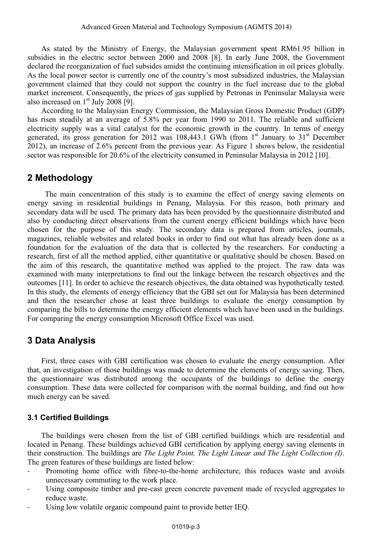As stated by the Ministry of Energy, the Malaysian government spent RM61.95 billion in subsidies in the electric sector between 2000 and 2008 [8]. In early June 2008, the Government declared the reorganization of fuel subsides amidst the continuing intensification in oil prices globally. As the local power sector is currently one of the country's most subsidized industries, the Malaysian government claimed that they could not support the country in the fuel increase due to the global market increment. Consequently, the prices of gas supplied by Petronas in Peninsular Malaysia were also increased on  $1<sup>st</sup>$  July 2008 [9].

According to the Malaysian Energy Commission, the Malaysian Gross Domestic Product (GDP) has risen steadily at an average of 5.8% per year from 1990 to 2011. The reliable and sufficient electricity supply was a vital catalyst for the economic growth in the country. In terms of energy generated, its gross generation for 2012 was 108,443.1 GWh (from 1<sup>st</sup> January to 31<sup>st</sup> December 2012), an increase of 2.6% percent from the previous year. As Figure 1 shows below, the residential sector was responsible for 20.6% of the electricity consumed in Peninsular Malaysia in 2012 [10].

#### **2 Methodology**

The main concentration of this study is to examine the effect of energy saving elements on energy saving in residential buildings in Penang, Malaysia. For this reason, both primary and secondary data will be used. The primary data has been provided by the questionnaire distributed and also by conducting direct observations from the current energy efficient buildings which have been chosen for the purpose of this study. The secondary data is prepared from articles, journals, magazines, reliable websites and related books in order to find out what has already been done as a foundation for the evaluation of the data that is collected by the researchers. For conducting a research, first of all the method applied, either quantitative or qualitative should be chosen. Based on the aim of this research, the quantitative method was applied to the project. The raw data was examined with many interpretations to find out the linkage between the research objectives and the outcomes [11]. In order to achieve the research objectives, the data obtained was hypothetically tested. In this study, the elements of energy efficiency that the GBI set out for Malaysia has been determined and then the researcher chose at least three buildings to evaluate the energy consumption by comparing the bills to determine the energy efficient elements which have been used in the buildings. For comparing the energy consumption Microsoft Office Excel was used.

#### **3 Data Analysis**

First, three cases with GBI certification was chosen to evaluate the energy consumption. After that, an investigation of those buildings was made to determine the elements of energy saving. Then, the questionnaire was distributed among the occupants of the buildings to define the energy consumption. These data were collected for comparison with the normal building, and find out how much energy can be saved.

#### **3.1 Certified Buildings**

The buildings were chosen from the list of GBI certified buildings which are residential and located in Penang. These buildings achieved GBI certification by applying energy saving elements in their construction. The buildings are *The Light Point, The Light Linear and The Light Collection (I)*. The green features of these buildings are listed below:

- - Promoting home office with fibre-to-the-home architecture; this reduces waste and avoids unnecessary commuting to the work place.
- - Using composite timber and pre-cast green concrete pavement made of recycled aggregates to reduce waste.
- -Using low volatile organic compound paint to provide better IEQ.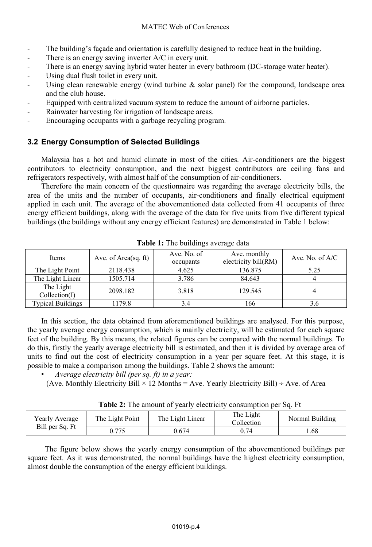- -The building's façade and orientation is carefully designed to reduce heat in the building.
- -There is an energy saving inverter A/C in every unit.
- -There is an energy saving hybrid water heater in every bathroom (DC-storage water heater).
- -Using dual flush toilet in every unit.
- -Using clean renewable energy (wind turbine  $\&$  solar panel) for the compound, landscape area and the club house.
- -Equipped with centralized vacuum system to reduce the amount of airborne particles.
- -Rainwater harvesting for irrigation of landscape areas.
- -Encouraging occupants with a garbage recycling program.

#### **3.2 Energy Consumption of Selected Buildings**

Malaysia has a hot and humid climate in most of the cities. Air-conditioners are the biggest contributors to electricity consumption, and the next biggest contributors are ceiling fans and refrigerators respectively, with almost half of the consumption of air-conditioners.

Therefore the main concern of the questionnaire was regarding the average electricity bills, the area of the units and the number of occupants, air-conditioners and finally electrical equipment applied in each unit. The average of the abovementioned data collected from 41 occupants of three energy efficient buildings, along with the average of the data for five units from five different typical buildings (the buildings without any energy efficient features) are demonstrated in Table 1 below:

| Items                      | Ave. of Area(sq. ft) | Ave. No. of<br>occupants | Ave. monthly<br>electricity bill(RM) | Ave. No. of $A/C$ |
|----------------------------|----------------------|--------------------------|--------------------------------------|-------------------|
| The Light Point            | 2118.438             | 4.625                    | 136.875                              | 5.25              |
| The Light Linear           | 1505.714             | 3.786                    | 84.643                               |                   |
| The Light<br>Collection(I) | 2098.182             | 3.818                    | 129.545                              |                   |
| <b>Typical Buildings</b>   | 179.8                |                          | 166                                  |                   |

**Table 1:** The buildings average data

In this section, the data obtained from aforementioned buildings are analysed. For this purpose, the yearly average energy consumption, which is mainly electricity, will be estimated for each square feet of the building. By this means, the related figures can be compared with the normal buildings. To do this, firstly the yearly average electricity bill is estimated, and then it is divided by average area of units to find out the cost of electricity consumption in a year per square feet. At this stage, it is possible to make a comparison among the buildings. Table 2 shows the amount:

• *Average electricity bill (per sq. ft) in a year:*

(Ave. Monthly Electricity Bill  $\times$  12 Months = Ave. Yearly Electricity Bill)  $\div$  Ave. of Area

**Table 2:** The amount of yearly electricity consumption per Sq. Ft

| Yearly Average<br>Bill per Sq. Ft | The Light Point | The Light Linear | The Light<br>Collection | Normal Building |
|-----------------------------------|-----------------|------------------|-------------------------|-----------------|
|                                   | 0.775           | J.674            | 0.74                    | .68             |

The figure below shows the yearly energy consumption of the abovementioned buildings per square feet. As it was demonstrated, the normal buildings have the highest electricity consumption, almost double the consumption of the energy efficient buildings.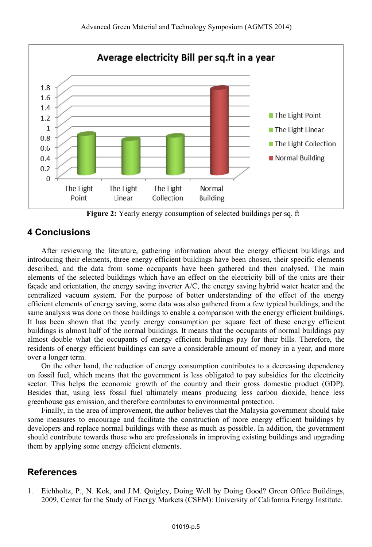

**Figure 2:** Yearly energy consumption of selected buildings per sq. ft

# **4 Conclusions**

After reviewing the literature, gathering information about the energy efficient buildings and introducing their elements, three energy efficient buildings have been chosen, their specific elements described, and the data from some occupants have been gathered and then analysed. The main elements of the selected buildings which have an effect on the electricity bill of the units are their façade and orientation, the energy saving inverter A/C, the energy saving hybrid water heater and the centralized vacuum system. For the purpose of better understanding of the effect of the energy efficient elements of energy saving, some data was also gathered from a few typical buildings, and the same analysis was done on those buildings to enable a comparison with the energy efficient buildings. It has been shown that the yearly energy consumption per square feet of these energy efficient buildings is almost half of the normal buildings. It means that the occupants of normal buildings pay almost double what the occupants of energy efficient buildings pay for their bills. Therefore, the residents of energy efficient buildings can save a considerable amount of money in a year, and more over a longer term.

On the other hand, the reduction of energy consumption contributes to a decreasing dependency on fossil fuel, which means that the government is less obligated to pay subsidies for the electricity sector. This helps the economic growth of the country and their gross domestic product (GDP). Besides that, using less fossil fuel ultimately means producing less carbon dioxide, hence less greenhouse gas emission, and therefore contributes to environmental protection.

Finally, in the area of improvement, the author believes that the Malaysia government should take some measures to encourage and facilitate the construction of more energy efficient buildings by developers and replace normal buildings with these as much as possible. In addition, the government should contribute towards those who are professionals in improving existing buildings and upgrading them by applying some energy efficient elements.

# **References**

1. Eichholtz, P., N. Kok, and J.M. Quigley, Doing Well by Doing Good? Green Office Buildings, 2009, Center for the Study of Energy Markets (CSEM): University of California Energy Institute.